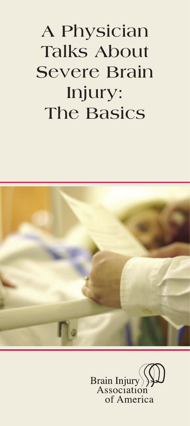# **A Physician Talks About Severe Brain Injury: The Basics**



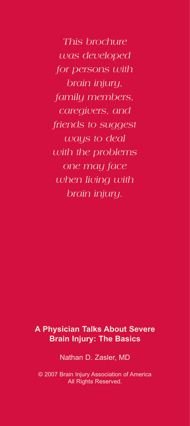*This brochure was developed for persons with brain injury, family members, caregivers, and friends to suggest ways to deal with the problems one may face when living with brain injury.*

### **A Physician Talks About Severe Brain Injury: The Basics**

Nathan D. Zasler, MD

© 2007 Brain Injury Association of America All Rights Reserved.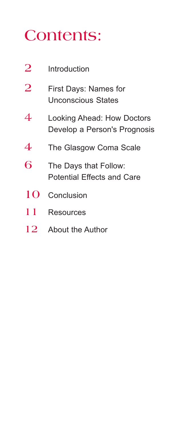# **Contents:**

| $\overline{2}$ | Introduction                                               |  |  |  |
|----------------|------------------------------------------------------------|--|--|--|
| $\overline{2}$ | First Days: Names for<br>Unconscious States                |  |  |  |
| 4              | Looking Ahead: How Doctors<br>Develop a Person's Prognosis |  |  |  |
| 4              | The Glasgow Coma Scale                                     |  |  |  |
| 6              | The Days that Follow:<br><b>Potential Effects and Care</b> |  |  |  |
| 10             | Conclusion                                                 |  |  |  |
| 11             | <b>Resources</b>                                           |  |  |  |
| 12             | About the Author                                           |  |  |  |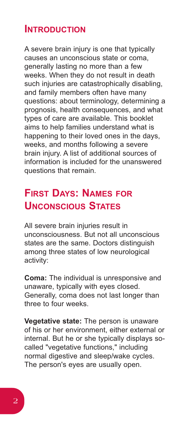### **INTRODUCTION**

A severe brain injury is one that typically causes an unconscious state or coma, generally lasting no more than a few weeks. When they do not result in death such injuries are catastrophically disabling, and family members often have many questions: about terminology, determining a prognosis, health consequences, and what types of care are available. This booklet aims to help families understand what is happening to their loved ones in the days, weeks, and months following a severe brain injury. A list of additional sources of information is included for the unanswered questions that remain.

# **FIRST DAYS: NAMES FOR UNCONSCIOUS STATES**

All severe brain injuries result in unconsciousness. But not all unconscious states are the same. Doctors distinguish among three states of low neurological activity:

**Coma:** The individual is unresponsive and unaware, typically with eyes closed. Generally, coma does not last longer than three to four weeks.

**Vegetative state:** The person is unaware of his or her environment, either external or internal. But he or she typically displays socalled "vegetative functions," including normal digestive and sleep/wake cycles. The person's eyes are usually open.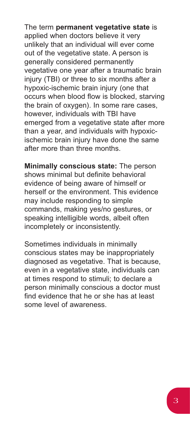The term **permanent vegetative state** is applied when doctors believe it very unlikely that an individual will ever come out of the vegetative state. A person is generally considered permanently vegetative one year after a traumatic brain injury (TBI) or three to six months after a hypoxic-ischemic brain injury (one that occurs when blood flow is blocked, starving the brain of oxygen). In some rare cases, however, individuals with TBI have emerged from a vegetative state after more than a year, and individuals with hypoxicischemic brain injury have done the same after more than three months.

**Minimally conscious state:** The person shows minimal but definite behavioral evidence of being aware of himself or herself or the environment. This evidence may include responding to simple commands, making yes/no gestures, or speaking intelligible words, albeit often incompletely or inconsistently.

Sometimes individuals in minimally conscious states may be inappropriately diagnosed as vegetative. That is because, even in a vegetative state, individuals can at times respond to stimuli; to declare a person minimally conscious a doctor must find evidence that he or she has at least some level of awareness.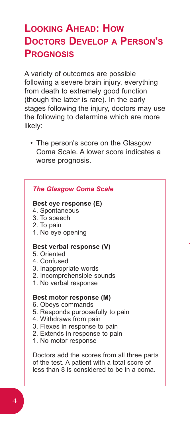# **LOOKING AHEAD: HOW DOCTORS DEVELOP A PERSON'S PROGNOSIS**

A variety of outcomes are possible following a severe brain injury, everything from death to extremely good function (though the latter is rare). In the early stages following the injury, doctors may use the following to determine which are more likely:

• The person's score on the Glasgow Coma Scale. A lower score indicates a worse prognosis.

|  | <b>The Glasgow Coma Scale</b> |  |
|--|-------------------------------|--|
|  |                               |  |

#### **Best eye response (E)**

4. Spontaneous

- 3. To speech
- 2. To pain
- 1. No eye opening

#### **Best verbal response (V)**

- 5. Oriented
- 4. Confused
- 3. Inappropriate words
- 2. Incomprehensible sounds
- 1. No verbal response

#### **Best motor response (M)**

- 6. Obeys commands
- 5. Responds purposefully to pain
- 4. Withdraws from pain
- 3. Flexes in response to pain
- 2. Extends in response to pain
- 1. No motor response

Doctors add the scores from all three parts of the test. A patient with a total score of less than 8 is considered to be in a coma.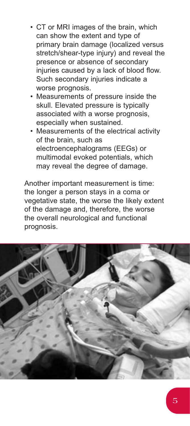- CT or MRI images of the brain, which can show the extent and type of primary brain damage (localized versus stretch/shear-type injury) and reveal the presence or absence of secondary injuries caused by a lack of blood flow. Such secondary injuries indicate a worse prognosis.
- Measurements of pressure inside the skull. Elevated pressure is typically associated with a worse prognosis, especially when sustained.
- Measurements of the electrical activity of the brain, such as electroencephalograms (EEGs) or multimodal evoked potentials, which may reveal the degree of damage.

Another important measurement is time: the longer a person stays in a coma or vegetative state, the worse the likely extent of the damage and, therefore, the worse the overall neurological and functional prognosis.

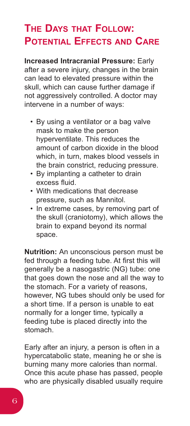# **THE DAYS THAT FOLLOW: POTENTIAL EFFECTS AND CARE**

**Increased Intracranial Pressure:** Early after a severe injury, changes in the brain can lead to elevated pressure within the skull, which can cause further damage if not aggressively controlled. A doctor may intervene in a number of ways:

- By using a ventilator or a bag valve mask to make the person hyperventilate. This reduces the amount of carbon dioxide in the blood which, in turn, makes blood vessels in the brain constrict, reducing pressure.
- By implanting a catheter to drain excess fluid.
- With medications that decrease pressure, such as Mannitol.
- In extreme cases, by removing part of the skull (craniotomy), which allows the brain to expand beyond its normal space.

**Nutrition:** An unconscious person must be fed through a feeding tube. At first this will generally be a nasogastric (NG) tube: one that goes down the nose and all the way to the stomach. For a variety of reasons, however, NG tubes should only be used for a short time. If a person is unable to eat normally for a longer time, typically a feeding tube is placed directly into the stomach.

Early after an injury, a person is often in a hypercatabolic state, meaning he or she is burning many more calories than normal. Once this acute phase has passed, people who are physically disabled usually require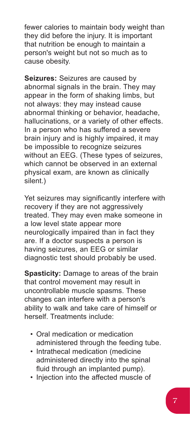fewer calories to maintain body weight than they did before the injury. It is important that nutrition be enough to maintain a person's weight but not so much as to cause obesity.

**Seizures:** Seizures are caused by abnormal signals in the brain. They may appear in the form of shaking limbs, but not always: they may instead cause abnormal thinking or behavior, headache, hallucinations, or a variety of other effects. In a person who has suffered a severe brain injury and is highly impaired, it may be impossible to recognize seizures without an EEG. (These types of seizures, which cannot be observed in an external physical exam, are known as clinically silent.)

Yet seizures may significantly interfere with recovery if they are not aggressively treated. They may even make someone in a low level state appear more neurologically impaired than in fact they are. If a doctor suspects a person is having seizures, an EEG or similar diagnostic test should probably be used.

**Spasticity:** Damage to areas of the brain that control movement may result in uncontrollable muscle spasms. These changes can interfere with a person's ability to walk and take care of himself or herself. Treatments include:

- Oral medication or medication administered through the feeding tube.
- Intrathecal medication (medicine administered directly into the spinal fluid through an implanted pump).
- Injection into the affected muscle of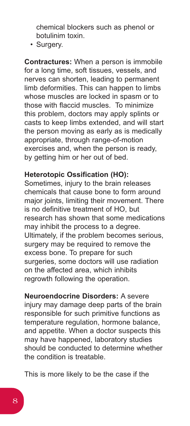chemical blockers such as phenol or botulinim toxin.

• Surgery.

**Contractures:** When a person is immobile for a long time, soft tissues, vessels, and nerves can shorten, leading to permanent limb deformities. This can happen to limbs whose muscles are locked in spasm or to those with flaccid muscles. To minimize this problem, doctors may apply splints or casts to keep limbs extended, and will start the person moving as early as is medically appropriate, through range-of-motion exercises and, when the person is ready, by getting him or her out of bed.

### **Heterotopic Ossification (HO):**

Sometimes, injury to the brain releases chemicals that cause bone to form around major joints, limiting their movement. There is no definitive treatment of HO, but research has shown that some medications may inhibit the process to a degree. Ultimately, if the problem becomes serious, surgery may be required to remove the excess bone. To prepare for such surgeries, some doctors will use radiation on the affected area, which inhibits regrowth following the operation.

**Neuroendocrine Disorders:** A severe injury may damage deep parts of the brain responsible for such primitive functions as temperature regulation, hormone balance, and appetite. When a doctor suspects this may have happened, laboratory studies should be conducted to determine whether the condition is treatable.

This is more likely to be the case if the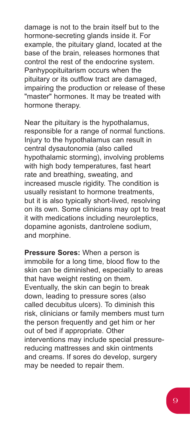damage is not to the brain itself but to the hormone-secreting glands inside it. For example, the pituitary gland, located at the base of the brain, releases hormones that control the rest of the endocrine system. Panhypopituitarism occurs when the pituitary or its outflow tract are damaged, impairing the production or release of these "master" hormones. It may be treated with hormone therapy.

Near the pituitary is the hypothalamus, responsible for a range of normal functions. Injury to the hypothalamus can result in central dysautonomia (also called hypothalamic storming), involving problems with high body temperatures, fast heart rate and breathing, sweating, and increased muscle rigidity. The condition is usually resistant to hormone treatments, but it is also typically short-lived, resolving on its own. Some clinicians may opt to treat it with medications including neuroleptics, dopamine agonists, dantrolene sodium, and morphine.

**Pressure Sores:** When a person is immobile for a long time, blood flow to the skin can be diminished, especially to areas that have weight resting on them. Eventually, the skin can begin to break down, leading to pressure sores (also called decubitus ulcers). To diminish this risk, clinicians or family members must turn the person frequently and get him or her out of bed if appropriate. Other interventions may include special pressurereducing mattresses and skin ointments and creams. If sores do develop, surgery may be needed to repair them.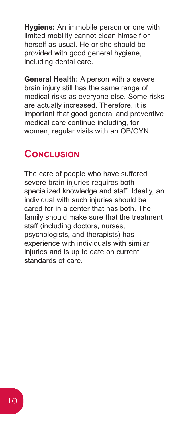**Hygiene:** An immobile person or one with limited mobility cannot clean himself or herself as usual. He or she should be provided with good general hygiene, including dental care.

**General Health:** A person with a severe brain injury still has the same range of medical risks as everyone else. Some risks are actually increased. Therefore, it is important that good general and preventive medical care continue including, for women, regular visits with an OB/GYN.

### **CONCLUSION**

The care of people who have suffered severe brain injuries requires both specialized knowledge and staff. Ideally, an individual with such injuries should be cared for in a center that has both. The family should make sure that the treatment staff (including doctors, nurses, psychologists, and therapists) has experience with individuals with similar injuries and is up to date on current standards of care.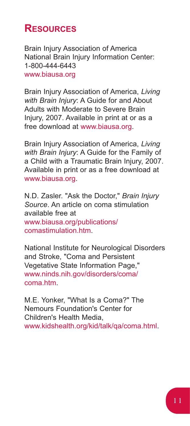## **RESOURCES**

Brain Injury Association of America National Brain Injury Information Center: 1-800-444-6443 www.biausa.org

Brain Injury Association of America, *Living with Brain Injury*: A Guide for and About Adults with Moderate to Severe Brain Injury, 2007. Available in print at or as a free download at www.biausa.org.

Brain Injury Association of America, *Living with Brain Injury*: A Guide for the Family of a Child with a Traumatic Brain Injury, 2007. Available in print or as a free download at www.biausa.org.

N.D. Zasler. "Ask the Doctor," *Brain Injury Source*. An article on coma stimulation available free at www.biausa.org/publications/ comastimulation.htm.

National Institute for Neurological Disorders and Stroke, "Coma and Persistent Vegetative State Information Page," www.ninds.nih.gov/disorders/coma/ coma.htm

M.E. Yonker, "What Is a Coma?" The Nemours Foundation's Center for Children's Health Media, www.kidshealth.org/kid/talk/qa/coma.html.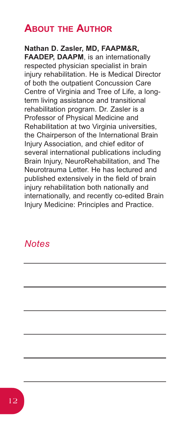## **ABOUT THE AUTHOR**

**Nathan D. Zasler, MD, FAAPM&R, FAADEP, DAAPM**, is an internationally respected physician specialist in brain injury rehabilitation. He is Medical Director of both the outpatient Concussion Care Centre of Virginia and Tree of Life, a longterm living assistance and transitional rehabilitation program. Dr. Zasler is a Professor of Physical Medicine and Rehabilitation at two Virginia universities, the Chairperson of the International Brain Injury Association, and chief editor of several international publications including Brain Injury, NeuroRehabilitation, and The Neurotrauma Letter. He has lectured and published extensively in the field of brain injury rehabilitation both nationally and internationally, and recently co-edited Brain Injury Medicine: Principles and Practice.

### *Notes*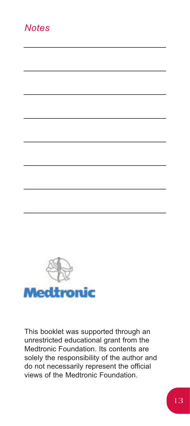### *Notes*



This booklet was supported through an unrestricted educational grant from the Medtronic Foundation. Its contents are solely the responsibility of the author and do not necessarily represent the official views of the Medtronic Foundation.